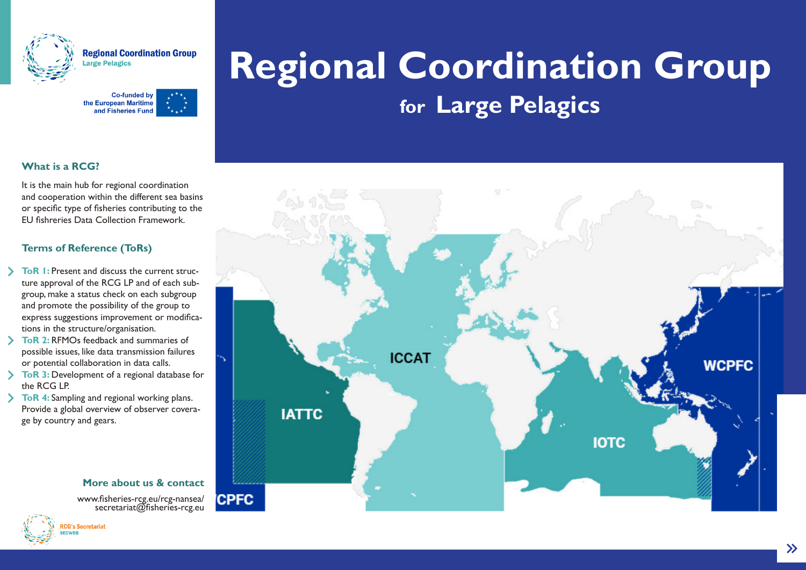

Regional Coordination Group rge Pelagics



## **Regional Coordination Group for Large Pelagics**

### **What is a RCG?**

It is the main hub for regional coordination and cooperation within the different sea basins or specific type of fisheries contributing to the EU fishreries Data Collection Framework.

### **Terms of Reference (ToRs)**

- **ToR 1:** Present and discuss the current structure approval of the RCG LP and of each subgroup, make a status check on each subgroup and promote the possibility of the group to express suggestions improvement or modifications in the structure/organisation.
- **ToR 2:** RFMOs feedback and summaries of possible issues, like data transmission failures or potential collaboration in data calls.
- **ToR 3:** Development of a regional database for the RCG LP.
- **ToR 4:** Sampling and regional working plans. Provide a global overview of observer coverage by country and gears.

# **ICCAT WCPFC IATTC IOTC CPFC**

#### **More about us & contact**

www.fisheries-rcg.eu/rcg-nansea/<br>secretariat@fisheries-rcg.eu



 $\rightarrow$